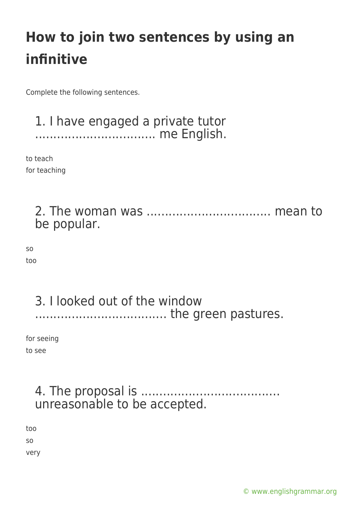Complete the following sentences.

#### 1. I have engaged a private tutor ................................. me English.

to teach for teaching

> 2. The woman was .................................. mean to be popular.

so too

#### 3. I looked out of the window .................................... the green pastures.

for seeing to see

### 4. The proposal is ...................................... unreasonable to be accepted.

too so very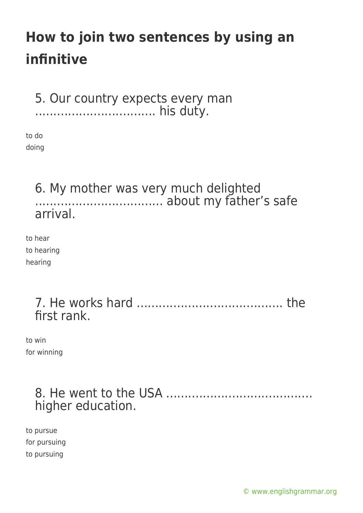5. Our country expects every man ................................. his duty.

to do doing

### 6. My mother was very much delighted ................................... about my father's safe arrival.

to hear to hearing hearing

> 7. He works hard ........................................ the first rank.

to win for winning

### 8. He went to the USA ........................................ higher education.

to pursue for pursuing to pursuing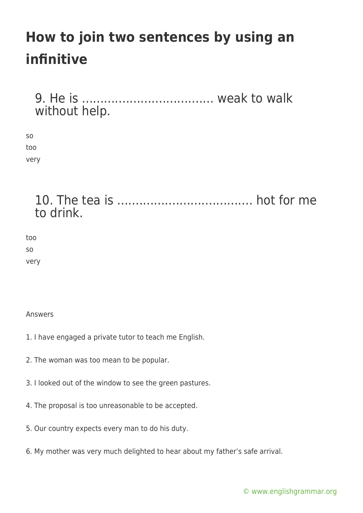9. He is .................................... weak to walk without help.

so too very

> 10. The tea is ..................................... hot for me to drink.

too so very

Answers

- 1. I have engaged a private tutor to teach me English.
- 2. The woman was too mean to be popular.
- 3. I looked out of the window to see the green pastures.
- 4. The proposal is too unreasonable to be accepted.
- 5. Our country expects every man to do his duty.
- 6. My mother was very much delighted to hear about my father's safe arrival.